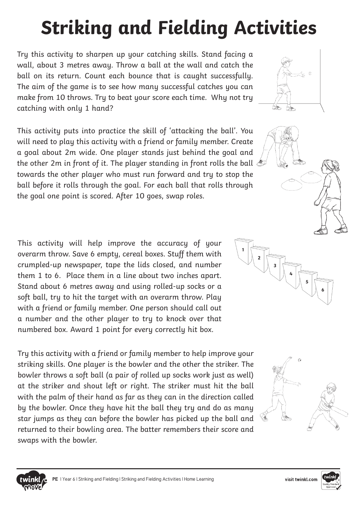## **Striking and Fielding Activities**

Try this activity to sharpen up your catching skills. Stand facing a wall, about 3 metres away. Throw a ball at the wall and catch the ball on its return. Count each bounce that is caught successfully. The aim of the game is to see how many successful catches you can make from 10 throws. Try to beat your score each time. Why not try catching with only 1 hand?

This activity puts into practice the skill of 'attacking the ball'. You will need to play this activity with a friend or family member. Create a goal about 2m wide. One player stands just behind the goal and the other 2m in front of it. The player standing in front rolls the ball towards the other player who must run forward and try to stop the ball before it rolls through the goal. For each ball that rolls through the goal one point is scored. After 10 goes, swap roles.

This activity will help improve the accuracy of your overarm throw. Save 6 empty, cereal boxes. Stuff them with crumpled-up newspaper, tape the lids closed, and number them 1 to 6. Place them in a line about two inches apart. Stand about 6 metres away and using rolled-up socks or a soft ball, try to hit the target with an overarm throw. Play with a friend or family member. One person should call out a number and the other player to try to knock over that numbered box. Award 1 point for every correctly hit box.

Try this activity with a friend or family member to help improve your striking skills. One player is the bowler and the other the striker. The bowler throws a soft ball (a pair of rolled up socks work just as well) at the striker and shout left or right. The striker must hit the ball with the palm of their hand as far as they can in the direction called by the bowler. Once they have hit the ball they try and do as many star jumps as they can before the bowler has picked up the ball and returned to their bowling area. The batter remembers their score and swaps with the bowler.